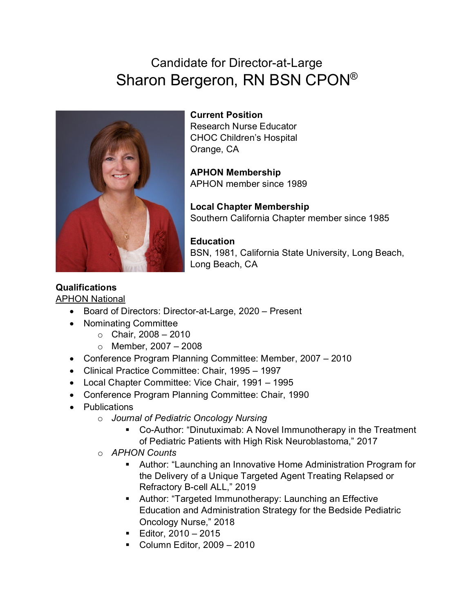# Candidate for Director-at-Large Sharon Bergeron, RN BSN CPON®



**Current Position** Research Nurse Educator CHOC Children's Hospital Orange, CA

**APHON Membership** APHON member since 1989

**Local Chapter Membership** Southern California Chapter member since 1985

**Education** BSN, 1981, California State University, Long Beach, Long Beach, CA

#### **Qualifications** APHON National

- Board of Directors: Director-at-Large, 2020 Present
- Nominating Committee
	- $\circ$  Chair, 2008 2010
	- $\circ$  Member, 2007 2008
- Conference Program Planning Committee: Member, 2007 2010
- Clinical Practice Committee: Chair, 1995 1997
- Local Chapter Committee: Vice Chair, 1991 1995
- Conference Program Planning Committee: Chair, 1990
- Publications
	- o *Journal of Pediatric Oncology Nursing*
		- Co-Author: "Dinutuximab: A Novel Immunotherapy in the Treatment of Pediatric Patients with High Risk Neuroblastoma," 2017
	- o *APHON Counts*
		- Author: "Launching an Innovative Home Administration Program for the Delivery of a Unique Targeted Agent Treating Relapsed or Refractory B-cell ALL," 2019
		- Author: "Targeted Immunotherapy: Launching an Effective Education and Administration Strategy for the Bedside Pediatric Oncology Nurse," 2018
		- **Editor, 2010 2015**
		- Column Editor,  $2009 2010$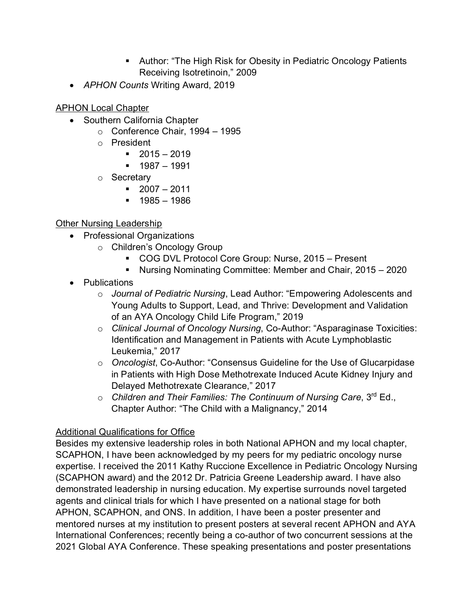- Author: "The High Risk for Obesity in Pediatric Oncology Patients Receiving Isotretinoin," 2009
- *APHON Counts* Writing Award, 2019

**APHON Local Chapter** 

- Southern California Chapter
	- $\circ$  Conference Chair, 1994 1995
	- o President
		- $-2015 2019$
		- $-1987 1991$
	- o Secretary
		- $-2007 2011$
		- $1985 1986$

### **Other Nursing Leadership**

- Professional Organizations
	- o Children's Oncology Group
		- COG DVL Protocol Core Group: Nurse, 2015 Present
		- Nursing Nominating Committee: Member and Chair, 2015 2020
- Publications
	- o *Journal of Pediatric Nursing*, Lead Author: "Empowering Adolescents and Young Adults to Support, Lead, and Thrive: Development and Validation of an AYA Oncology Child Life Program," 2019
	- o *Clinical Journal of Oncology Nursing*, Co-Author: "Asparaginase Toxicities: Identification and Management in Patients with Acute Lymphoblastic Leukemia," 2017
	- o *Oncologist*, Co-Author: "Consensus Guideline for the Use of Glucarpidase in Patients with High Dose Methotrexate Induced Acute Kidney Injury and Delayed Methotrexate Clearance," 2017
	- o *Children and Their Families: The Continuum of Nursing Care*, 3rd Ed., Chapter Author: "The Child with a Malignancy," 2014

#### Additional Qualifications for Office

Besides my extensive leadership roles in both National APHON and my local chapter, SCAPHON, I have been acknowledged by my peers for my pediatric oncology nurse expertise. I received the 2011 Kathy Ruccione Excellence in Pediatric Oncology Nursing (SCAPHON award) and the 2012 Dr. Patricia Greene Leadership award. I have also demonstrated leadership in nursing education. My expertise surrounds novel targeted agents and clinical trials for which I have presented on a national stage for both APHON, SCAPHON, and ONS. In addition, I have been a poster presenter and mentored nurses at my institution to present posters at several recent APHON and AYA International Conferences; recently being a co-author of two concurrent sessions at the 2021 Global AYA Conference. These speaking presentations and poster presentations